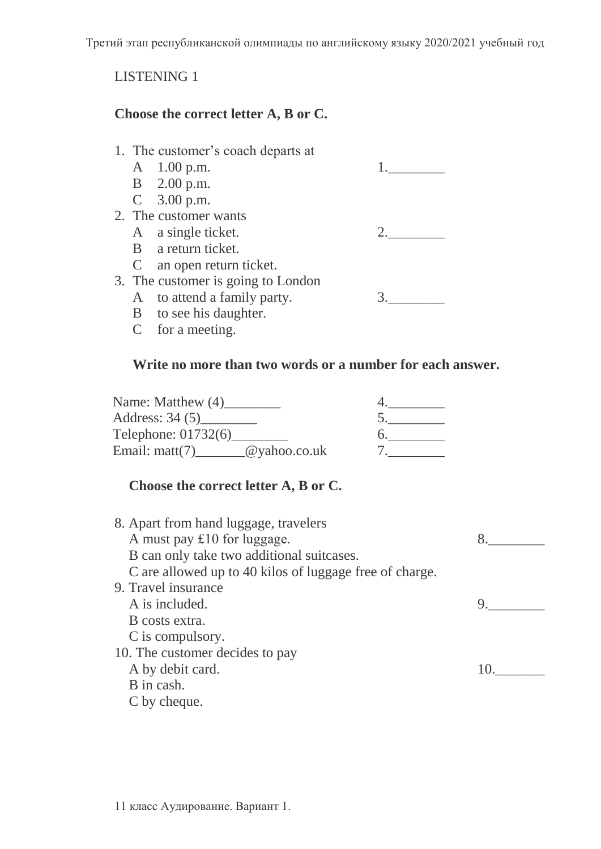Третий этап республиканской олимпиады по английскому языку 2020/2021 учебный год

# LISTENING 1

### **Choose the correct letter A, B or C.**

| 1. The customer's coach departs at |                                    |  |
|------------------------------------|------------------------------------|--|
|                                    | A 1.00 p.m.                        |  |
|                                    | B 2.00 p.m.                        |  |
|                                    | $C = 3.00$ p.m.                    |  |
|                                    | 2. The customer wants              |  |
|                                    | A a single ticket.                 |  |
|                                    | B a return ticket.                 |  |
|                                    | C an open return ticket.           |  |
|                                    | 3. The customer is going to London |  |
|                                    | A to attend a family party.        |  |
|                                    | B to see his daughter.             |  |
|                                    | $C$ for a meeting.                 |  |

### **Write no more than two words or a number for each answer.**

| Name: Matthew (4)           |  |
|-----------------------------|--|
| Address: 34 (5)             |  |
| Telephone: 01732(6)         |  |
| Email: matt(7) @yahoo.co.uk |  |

# **Choose the correct letter A, B or C.**

| 8. Apart from hand luggage, travelers                   |    |
|---------------------------------------------------------|----|
| A must pay $£10$ for luggage.                           |    |
| B can only take two additional suitcases.               |    |
| C are allowed up to 40 kilos of luggage free of charge. |    |
| 9. Travel insurance                                     |    |
| A is included.                                          |    |
| B costs extra.                                          |    |
| C is compulsory.                                        |    |
| 10. The customer decides to pay                         |    |
| A by debit card.                                        | 10 |
| B in cash.                                              |    |
| C by cheque.                                            |    |